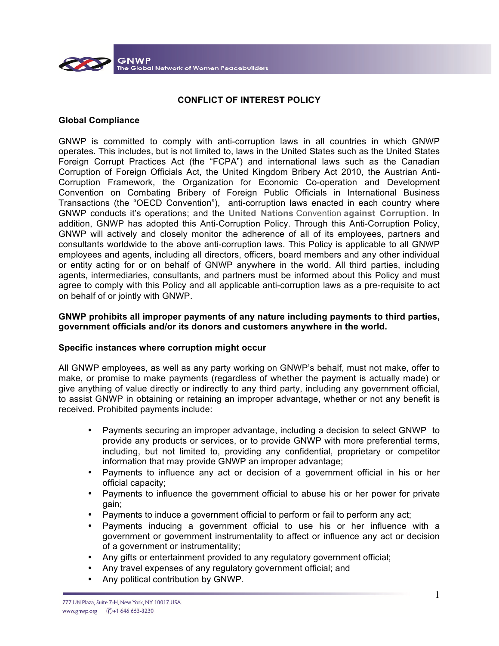

## **CONFLICT OF INTEREST POLICY**

## **Global Compliance**

GNWP is committed to comply with anti-corruption laws in all countries in which GNWP operates. This includes, but is not limited to, laws in the United States such as the United States Foreign Corrupt Practices Act (the "FCPA") and international laws such as the Canadian Corruption of Foreign Officials Act, the United Kingdom Bribery Act 2010, the Austrian Anti-Corruption Framework, the Organization for Economic Co-operation and Development Convention on Combating Bribery of Foreign Public Officials in International Business Transactions (the "OECD Convention"), anti-corruption laws enacted in each country where GNWP conducts it's operations; and the **United Nations** Convention **against Corruption**. In addition, GNWP has adopted this Anti-Corruption Policy. Through this Anti-Corruption Policy, GNWP will actively and closely monitor the adherence of all of its employees, partners and consultants worldwide to the above anti-corruption laws. This Policy is applicable to all GNWP employees and agents, including all directors, officers, board members and any other individual or entity acting for or on behalf of GNWP anywhere in the world. All third parties, including agents, intermediaries, consultants, and partners must be informed about this Policy and must agree to comply with this Policy and all applicable anti-corruption laws as a pre-requisite to act on behalf of or jointly with GNWP.

### **GNWP prohibits all improper payments of any nature including payments to third parties, government officials and/or its donors and customers anywhere in the world.**

### **Specific instances where corruption might occur**

All GNWP employees, as well as any party working on GNWP's behalf, must not make, offer to make, or promise to make payments (regardless of whether the payment is actually made) or give anything of value directly or indirectly to any third party, including any government official, to assist GNWP in obtaining or retaining an improper advantage, whether or not any benefit is received. Prohibited payments include:

- Payments securing an improper advantage, including a decision to select GNWP to provide any products or services, or to provide GNWP with more preferential terms, including, but not limited to, providing any confidential, proprietary or competitor information that may provide GNWP an improper advantage;
- Payments to influence any act or decision of a government official in his or her official capacity;
- Payments to influence the government official to abuse his or her power for private gain;
- Payments to induce a government official to perform or fail to perform any act;
- Payments inducing a government official to use his or her influence with a government or government instrumentality to affect or influence any act or decision of a government or instrumentality;
- Any gifts or entertainment provided to any regulatory government official;
- Any travel expenses of any regulatory government official; and
- Any political contribution by GNWP.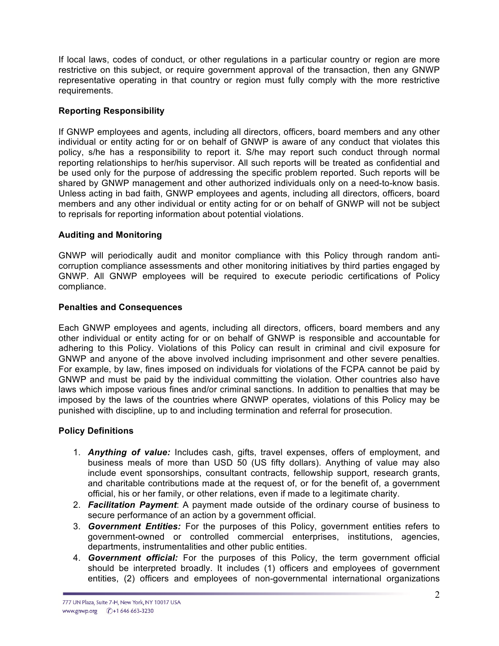If local laws, codes of conduct, or other regulations in a particular country or region are more restrictive on this subject, or require government approval of the transaction, then any GNWP representative operating in that country or region must fully comply with the more restrictive requirements.

# **Reporting Responsibility**

If GNWP employees and agents, including all directors, officers, board members and any other individual or entity acting for or on behalf of GNWP is aware of any conduct that violates this policy, s/he has a responsibility to report it. S/he may report such conduct through normal reporting relationships to her/his supervisor. All such reports will be treated as confidential and be used only for the purpose of addressing the specific problem reported. Such reports will be shared by GNWP management and other authorized individuals only on a need-to-know basis. Unless acting in bad faith, GNWP employees and agents, including all directors, officers, board members and any other individual or entity acting for or on behalf of GNWP will not be subject to reprisals for reporting information about potential violations.

# **Auditing and Monitoring**

GNWP will periodically audit and monitor compliance with this Policy through random anticorruption compliance assessments and other monitoring initiatives by third parties engaged by GNWP. All GNWP employees will be required to execute periodic certifications of Policy compliance.

# **Penalties and Consequences**

Each GNWP employees and agents, including all directors, officers, board members and any other individual or entity acting for or on behalf of GNWP is responsible and accountable for adhering to this Policy. Violations of this Policy can result in criminal and civil exposure for GNWP and anyone of the above involved including imprisonment and other severe penalties. For example, by law, fines imposed on individuals for violations of the FCPA cannot be paid by GNWP and must be paid by the individual committing the violation. Other countries also have laws which impose various fines and/or criminal sanctions. In addition to penalties that may be imposed by the laws of the countries where GNWP operates, violations of this Policy may be punished with discipline, up to and including termination and referral for prosecution.

# **Policy Definitions**

- 1. *Anything of value:* Includes cash, gifts, travel expenses, offers of employment, and business meals of more than USD 50 (US fifty dollars). Anything of value may also include event sponsorships, consultant contracts, fellowship support, research grants, and charitable contributions made at the request of, or for the benefit of, a government official, his or her family, or other relations, even if made to a legitimate charity.
- 2. *Facilitation Payment*: A payment made outside of the ordinary course of business to secure performance of an action by a government official.
- 3. *Government Entities:* For the purposes of this Policy, government entities refers to government-owned or controlled commercial enterprises, institutions, agencies, departments, instrumentalities and other public entities.
- 4. *Government official:* For the purposes of this Policy, the term government official should be interpreted broadly. It includes (1) officers and employees of government entities, (2) officers and employees of non-governmental international organizations